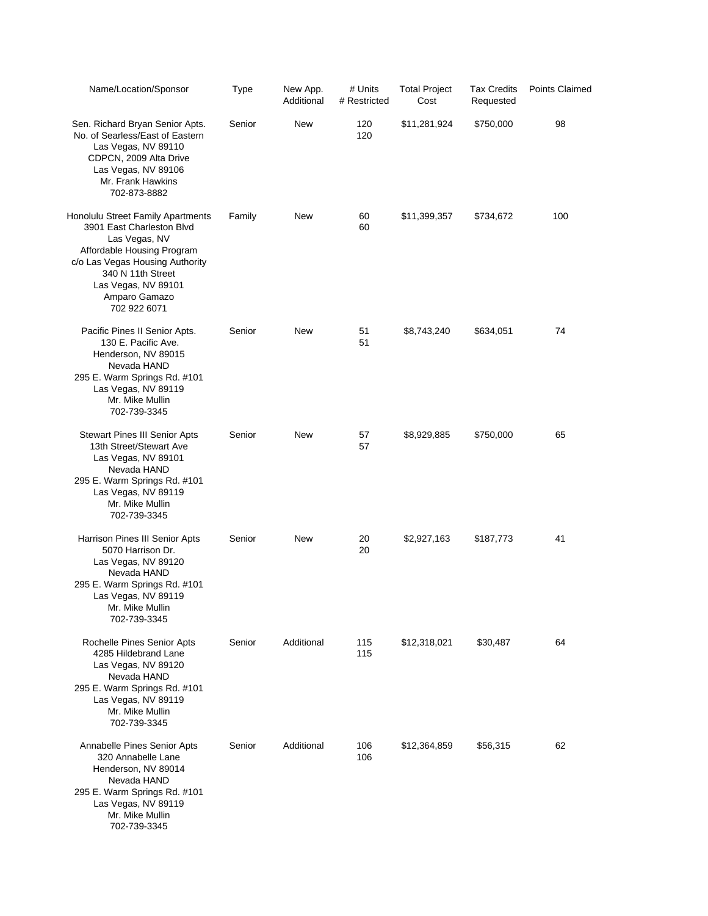| Name/Location/Sponsor                                                                                                                                                                                                         | <b>Type</b> | New App.<br>Additional | # Units<br># Restricted | <b>Total Project</b><br>Cost | <b>Tax Credits</b><br>Requested | <b>Points Claimed</b> |
|-------------------------------------------------------------------------------------------------------------------------------------------------------------------------------------------------------------------------------|-------------|------------------------|-------------------------|------------------------------|---------------------------------|-----------------------|
| Sen. Richard Bryan Senior Apts.<br>No. of Searless/East of Eastern<br>Las Vegas, NV 89110<br>CDPCN, 2009 Alta Drive<br>Las Vegas, NV 89106<br>Mr. Frank Hawkins<br>702-873-8882                                               | Senior      | <b>New</b>             | 120<br>120              | \$11,281,924                 | \$750,000                       | 98                    |
| Honolulu Street Family Apartments<br>3901 East Charleston Blvd<br>Las Vegas, NV<br>Affordable Housing Program<br>c/o Las Vegas Housing Authority<br>340 N 11th Street<br>Las Vegas, NV 89101<br>Amparo Gamazo<br>702 922 6071 | Family      | New                    | 60<br>60                | \$11,399,357                 | \$734,672                       | 100                   |
| Pacific Pines II Senior Apts.<br>130 E. Pacific Ave.<br>Henderson, NV 89015<br>Nevada HAND<br>295 E. Warm Springs Rd. #101<br>Las Vegas, NV 89119<br>Mr. Mike Mullin<br>702-739-3345                                          | Senior      | New                    | 51<br>51                | \$8,743,240                  | \$634,051                       | 74                    |
| <b>Stewart Pines III Senior Apts</b><br>13th Street/Stewart Ave<br>Las Vegas, NV 89101<br>Nevada HAND<br>295 E. Warm Springs Rd. #101<br>Las Vegas, NV 89119<br>Mr. Mike Mullin<br>702-739-3345                               | Senior      | New                    | 57<br>57                | \$8,929,885                  | \$750,000                       | 65                    |
| Harrison Pines III Senior Apts<br>5070 Harrison Dr.<br>Las Vegas, NV 89120<br>Nevada HAND<br>295 E. Warm Springs Rd. #101<br>Las Vegas, NV 89119<br>Mr. Mike Mullin<br>702-739-3345                                           | Senior      | New                    | 20<br>20                | \$2,927,163                  | \$187,773                       | 41                    |
| Rochelle Pines Senior Apts<br>4285 Hildebrand Lane<br>Las Vegas, NV 89120<br>Nevada HAND<br>295 E. Warm Springs Rd. #101<br>Las Vegas, NV 89119<br>Mr. Mike Mullin<br>702-739-3345                                            | Senior      | Additional             | 115<br>115              | \$12,318,021                 | \$30,487                        | 64                    |
| Annabelle Pines Senior Apts<br>320 Annabelle Lane<br>Henderson, NV 89014<br>Nevada HAND<br>295 E. Warm Springs Rd. #101<br>Las Vegas, NV 89119<br>Mr. Mike Mullin<br>702-739-3345                                             | Senior      | Additional             | 106<br>106              | \$12,364,859                 | \$56,315                        | 62                    |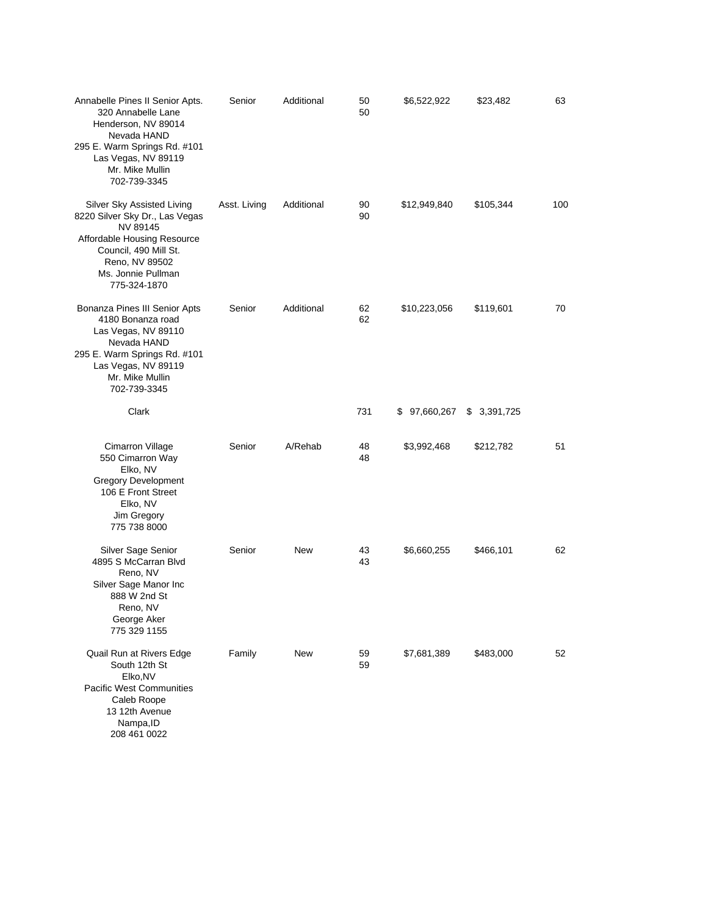| Annabelle Pines II Senior Apts.<br>320 Annabelle Lane<br>Henderson, NV 89014<br>Nevada HAND<br>295 E. Warm Springs Rd. #101<br>Las Vegas, NV 89119<br>Mr. Mike Mullin<br>702-739-3345    | Senior       | Additional | 50<br>50 | \$6,522,922  | \$23,482    | 63  |
|------------------------------------------------------------------------------------------------------------------------------------------------------------------------------------------|--------------|------------|----------|--------------|-------------|-----|
| Silver Sky Assisted Living<br>8220 Silver Sky Dr., Las Vegas<br>NV 89145<br>Affordable Housing Resource<br>Council, 490 Mill St.<br>Reno, NV 89502<br>Ms. Jonnie Pullman<br>775-324-1870 | Asst. Living | Additional | 90<br>90 | \$12,949,840 | \$105,344   | 100 |
| Bonanza Pines III Senior Apts<br>4180 Bonanza road<br>Las Vegas, NV 89110<br>Nevada HAND<br>295 E. Warm Springs Rd. #101<br>Las Vegas, NV 89119<br>Mr. Mike Mullin<br>702-739-3345       | Senior       | Additional | 62<br>62 | \$10,223,056 | \$119,601   | 70  |
| Clark                                                                                                                                                                                    |              |            | 731      | \$97,660,267 | \$3,391,725 |     |
| Cimarron Village<br>550 Cimarron Way<br>Elko, NV<br><b>Gregory Development</b><br>106 E Front Street<br>Elko, NV<br>Jim Gregory<br>775 738 8000                                          | Senior       | A/Rehab    | 48<br>48 | \$3,992,468  | \$212,782   | 51  |
| Silver Sage Senior<br>4895 S McCarran Blvd<br>Reno, NV<br>Silver Sage Manor Inc<br>888 W 2nd St<br>Reno, NV<br>George Aker<br>775 329 1155                                               | Senior       | New        | 43<br>43 | \$6,660,255  | \$466,101   | 62  |
| Quail Run at Rivers Edge<br>South 12th St<br>Elko, NV<br>Pacific West Communities<br>Caleb Roope<br>13 12th Avenue<br>Nampa, ID<br>208 461 0022                                          | Family       | New        | 59<br>59 | \$7,681,389  | \$483,000   | 52  |